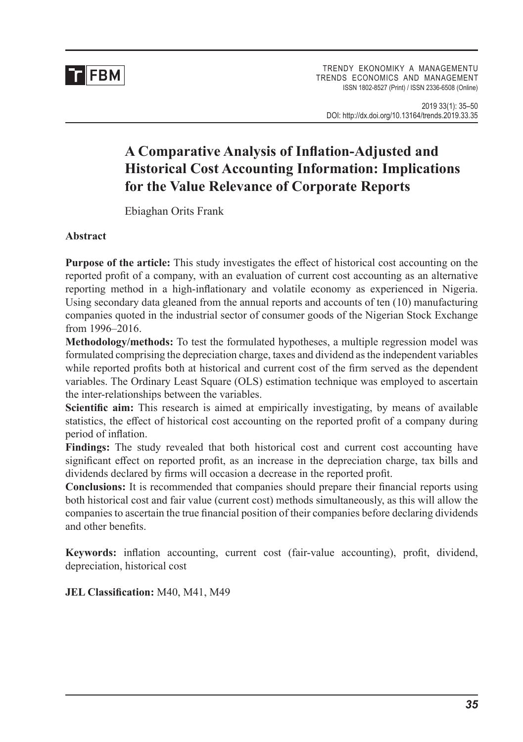

# **A Comparative Analysis of Inflation-Adjusted and Historical Cost Accounting Information: Implications for the Value Relevance of Corporate Reports**

Ebiaghan Orits Frank

### **Abstract**

**Purpose of the article:** This study investigates the effect of historical cost accounting on the reported profit of a company, with an evaluation of current cost accounting as an alternative reporting method in a high-inflationary and volatile economy as experienced in Nigeria. Using secondary data gleaned from the annual reports and accounts of ten (10) manufacturing companies quoted in the industrial sector of consumer goods of the Nigerian Stock Exchange from 1996–2016.

**Methodology/methods:** To test the formulated hypotheses, a multiple regression model was formulated comprising the depreciation charge, taxes and dividend as the independent variables while reported profits both at historical and current cost of the firm served as the dependent variables. The Ordinary Least Square (OLS) estimation technique was employed to ascertain the inter-relationships between the variables.

**Scientific aim:** This research is aimed at empirically investigating, by means of available statistics, the effect of historical cost accounting on the reported profit of a company during period of inflation.

**Findings:** The study revealed that both historical cost and current cost accounting have significant effect on reported profit, as an increase in the depreciation charge, tax bills and dividends declared by firms will occasion a decrease in the reported profit.

**Conclusions:** It is recommended that companies should prepare their financial reports using both historical cost and fair value (current cost) methods simultaneously, as this will allow the companies to ascertain the true financial position of their companies before declaring dividends and other benefits.

**Keywords:** inflation accounting, current cost (fair-value accounting), profit, dividend, depreciation, historical cost

**JEL Classification:** M40, M41, M49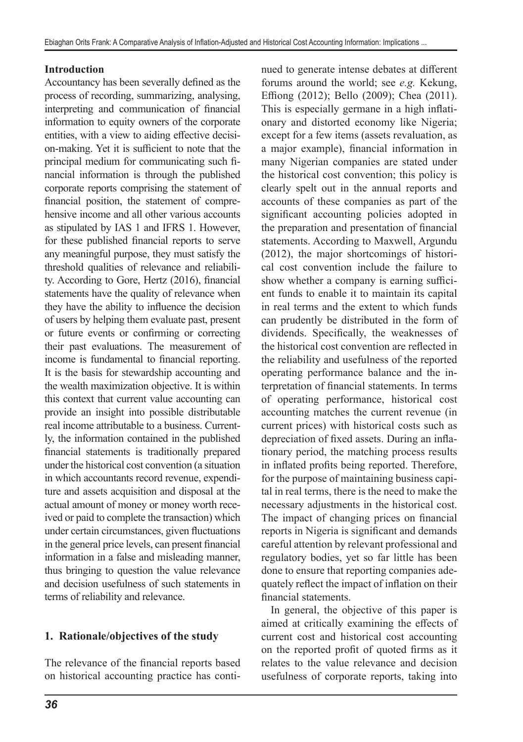### **Introduction**

Accountancy has been severally defined as the process of recording, summarizing, analysing, interpreting and communication of financial information to equity owners of the corporate entities, with a view to aiding effective decision-making. Yet it is sufficient to note that the principal medium for communicating such financial information is through the published corporate reports comprising the statement of financial position, the statement of comprehensive income and all other various accounts as stipulated by IAS 1 and IFRS 1. However, for these published financial reports to serve any meaningful purpose, they must satisfy the threshold qualities of relevance and reliability. According to Gore, Hertz (2016), financial statements have the quality of relevance when they have the ability to influence the decision of users by helping them evaluate past, present or future events or confirming or correcting their past evaluations. The measurement of income is fundamental to financial reporting. It is the basis for stewardship accounting and the wealth maximization objective. It is within this context that current value accounting can provide an insight into possible distributable real income attributable to a business. Currently, the information contained in the published financial statements is traditionally prepared under the historical cost convention (a situation in which accountants record revenue, expenditure and assets acquisition and disposal at the actual amount of money or money worth received or paid to complete the transaction) which under certain circumstances, given fluctuations in the general price levels, can present financial information in a false and misleading manner, thus bringing to question the value relevance and decision usefulness of such statements in terms of reliability and relevance.

# **1. Rationale/objectives of the study**

The relevance of the financial reports based on historical accounting practice has continued to generate intense debates at different forums around the world; see *e.g.* Kekung, Effiong (2012); Bello (2009); Chea (2011). This is especially germane in a high inflationary and distorted economy like Nigeria; except for a few items (assets revaluation, as a major example), financial information in many Nigerian companies are stated under the historical cost convention; this policy is clearly spelt out in the annual reports and accounts of these companies as part of the significant accounting policies adopted in the preparation and presentation of financial statements. According to Maxwell, Argundu (2012), the major shortcomings of historical cost convention include the failure to show whether a company is earning sufficient funds to enable it to maintain its capital in real terms and the extent to which funds can prudently be distributed in the form of dividends. Specifically, the weaknesses of the historical cost convention are reflected in the reliability and usefulness of the reported operating performance balance and the interpretation of financial statements. In terms of operating performance, historical cost accounting matches the current revenue (in current prices) with historical costs such as depreciation of fixed assets. During an inflationary period, the matching process results in inflated profits being reported. Therefore, for the purpose of maintaining business capital in real terms, there is the need to make the necessary adjustments in the historical cost. The impact of changing prices on financial reports in Nigeria is significant and demands careful attention by relevant professional and regulatory bodies, yet so far little has been done to ensure that reporting companies adequately reflect the impact of inflation on their financial statements.

In general, the objective of this paper is aimed at critically examining the effects of current cost and historical cost accounting on the reported profit of quoted firms as it relates to the value relevance and decision usefulness of corporate reports, taking into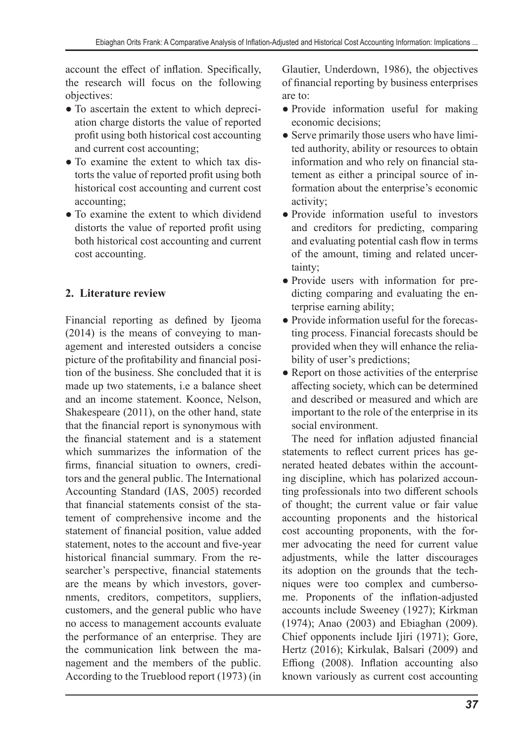account the effect of inflation. Specifically, the research will focus on the following objectives:

- To ascertain the extent to which depreciation charge distorts the value of reported profit using both historical cost accounting and current cost accounting;
- To examine the extent to which tax distorts the value of reported profit using both historical cost accounting and current cost accounting;
- To examine the extent to which dividend distorts the value of reported profit using both historical cost accounting and current cost accounting.

# **2. Literature review**

Financial reporting as defined by Ijeoma (2014) is the means of conveying to management and interested outsiders a concise picture of the profitability and financial position of the business. She concluded that it is made up two statements, i.e a balance sheet and an income statement. Koonce, Nelson, Shakespeare (2011), on the other hand, state that the financial report is synonymous with the financial statement and is a statement which summarizes the information of the firms, financial situation to owners, creditors and the general public. The International Accounting Standard (IAS, 2005) recorded that financial statements consist of the statement of comprehensive income and the statement of financial position, value added statement, notes to the account and five-year historical financial summary. From the researcher's perspective, financial statements are the means by which investors, governments, creditors, competitors, suppliers, customers, and the general public who have no access to management accounts evaluate the performance of an enterprise. They are the communication link between the management and the members of the public. According to the Trueblood report (1973) (in Glautier, Underdown, 1986), the objectives of financial reporting by business enterprises are to:

- Provide information useful for making economic decisions;
- Serve primarily those users who have limited authority, ability or resources to obtain information and who rely on financial statement as either a principal source of information about the enterprise's economic activity;
- Provide information useful to investors and creditors for predicting, comparing and evaluating potential cash flow in terms of the amount, timing and related uncertainty;
- Provide users with information for predicting comparing and evaluating the enterprise earning ability;
- Provide information useful for the forecasting process. Financial forecasts should be provided when they will enhance the reliability of user's predictions;
- Report on those activities of the enterprise affecting society, which can be determined and described or measured and which are important to the role of the enterprise in its social environment.

The need for inflation adjusted financial statements to reflect current prices has generated heated debates within the accounting discipline, which has polarized accounting professionals into two different schools of thought; the current value or fair value accounting proponents and the historical cost accounting proponents, with the former advocating the need for current value adjustments, while the latter discourages its adoption on the grounds that the techniques were too complex and cumbersome. Proponents of the inflation-adjusted accounts include Sweeney (1927); Kirkman (1974); Anao (2003) and Ebiaghan (2009). Chief opponents include Ijiri (1971); Gore, Hertz (2016); Kirkulak, Balsari (2009) and Effiong (2008). Inflation accounting also known variously as current cost accounting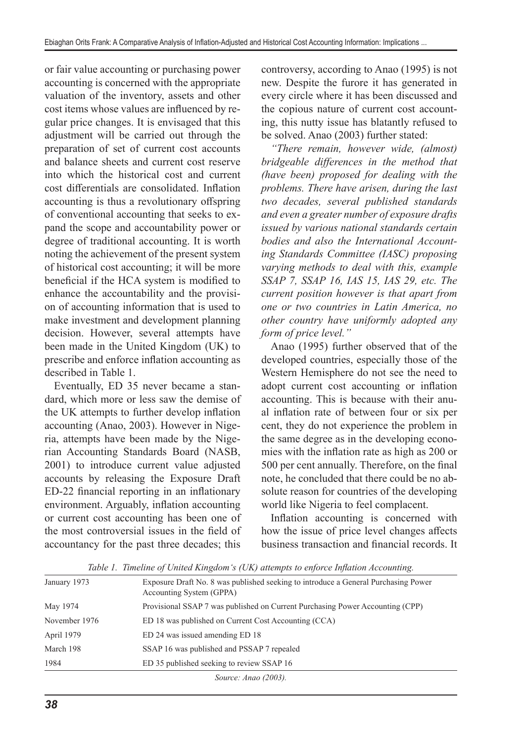or fair value accounting or purchasing power accounting is concerned with the appropriate valuation of the inventory, assets and other cost items whose values are influenced by regular price changes. It is envisaged that this adjustment will be carried out through the preparation of set of current cost accounts and balance sheets and current cost reserve into which the historical cost and current cost differentials are consolidated. Inflation accounting is thus a revolutionary offspring of conventional accounting that seeks to expand the scope and accountability power or degree of traditional accounting. It is worth noting the achievement of the present system of historical cost accounting; it will be more beneficial if the HCA system is modified to enhance the accountability and the provision of accounting information that is used to make investment and development planning decision. However, several attempts have been made in the United Kingdom (UK) to prescribe and enforce inflation accounting as described in Table 1.

Eventually, ED 35 never became a standard, which more or less saw the demise of the UK attempts to further develop inflation accounting (Anao, 2003). However in Nigeria, attempts have been made by the Nigerian Accounting Standards Board (NASB, 2001) to introduce current value adjusted accounts by releasing the Exposure Draft ED-22 financial reporting in an inflationary environment. Arguably, inflation accounting or current cost accounting has been one of the most controversial issues in the field of accountancy for the past three decades; this

controversy, according to Anao (1995) is not new. Despite the furore it has generated in every circle where it has been discussed and the copious nature of current cost accounting, this nutty issue has blatantly refused to be solved. Anao (2003) further stated:

*"There remain, however wide, (almost) bridgeable differences in the method that (have been) proposed for dealing with the problems. There have arisen, during the last two decades, several published standards and even a greater number of exposure drafts issued by various national standards certain bodies and also the International Accounting Standards Committee (IASC) proposing varying methods to deal with this, example SSAP 7, SSAP 16, IAS 15, IAS 29, etc. The current position however is that apart from one or two countries in Latin America, no other country have uniformly adopted any form of price level."*

Anao (1995) further observed that of the developed countries, especially those of the Western Hemisphere do not see the need to adopt current cost accounting or inflation accounting. This is because with their anual inflation rate of between four or six per cent, they do not experience the problem in the same degree as in the developing economies with the inflation rate as high as 200 or 500 per cent annually. Therefore, on the final note, he concluded that there could be no absolute reason for countries of the developing world like Nigeria to feel complacent.

Inflation accounting is concerned with how the issue of price level changes affects business transaction and financial records. It

| January 1973  | Exposure Draft No. 8 was published seeking to introduce a General Purchasing Power<br>Accounting System (GPPA) |
|---------------|----------------------------------------------------------------------------------------------------------------|
| May 1974      | Provisional SSAP 7 was published on Current Purchasing Power Accounting (CPP)                                  |
| November 1976 | ED 18 was published on Current Cost Accounting (CCA)                                                           |
| April 1979    | ED 24 was issued amending ED 18                                                                                |
| March 198     | SSAP 16 was published and PSSAP 7 repealed                                                                     |
| 1984          | ED 35 published seeking to review SSAP 16                                                                      |
|               | Source: Anao (2003).                                                                                           |

*Table 1. Timeline of United Kingdom's (UK) attempts to enforce Inflation Accounting.*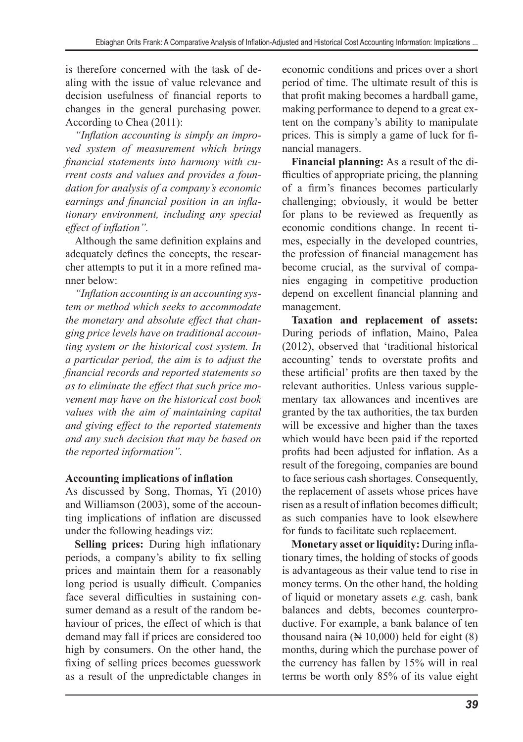is therefore concerned with the task of dealing with the issue of value relevance and decision usefulness of financial reports to changes in the general purchasing power. According to Chea (2011):

*"Inflation accounting is simply an improved system of measurement which brings financial statements into harmony with current costs and values and provides a foundation for analysis of a company's economic earnings and financial position in an inflationary environment, including any special effect of inflation".*

Although the same definition explains and adequately defines the concepts, the researcher attempts to put it in a more refined manner below:

*"Inflation accounting is an accounting system or method which seeks to accommodate the monetary and absolute effect that changing price levels have on traditional accounting system or the historical cost system. In a particular period, the aim is to adjust the financial records and reported statements so as to eliminate the effect that such price movement may have on the historical cost book values with the aim of maintaining capital and giving effect to the reported statements and any such decision that may be based on the reported information".*

# **Accounting implications of inflation**

As discussed by Song, Thomas, Yi (2010) and Williamson (2003), some of the accounting implications of inflation are discussed under the following headings viz:

**Selling prices:** During high inflationary periods, a company's ability to fix selling prices and maintain them for a reasonably long period is usually difficult. Companies face several difficulties in sustaining consumer demand as a result of the random behaviour of prices, the effect of which is that demand may fall if prices are considered too high by consumers. On the other hand, the fixing of selling prices becomes guesswork as a result of the unpredictable changes in economic conditions and prices over a short period of time. The ultimate result of this is that profit making becomes a hardball game, making performance to depend to a great extent on the company's ability to manipulate prices. This is simply a game of luck for financial managers.

**Financial planning:** As a result of the difficulties of appropriate pricing, the planning of a firm's finances becomes particularly challenging; obviously, it would be better for plans to be reviewed as frequently as economic conditions change. In recent times, especially in the developed countries, the profession of financial management has become crucial, as the survival of companies engaging in competitive production depend on excellent financial planning and management.

**Taxation and replacement of assets:** During periods of inflation, Maino, Palea (2012), observed that 'traditional historical accounting' tends to overstate profits and these artificial' profits are then taxed by the relevant authorities. Unless various supplementary tax allowances and incentives are granted by the tax authorities, the tax burden will be excessive and higher than the taxes which would have been paid if the reported profits had been adjusted for inflation. As a result of the foregoing, companies are bound to face serious cash shortages. Consequently, the replacement of assets whose prices have risen as a result of inflation becomes difficult; as such companies have to look elsewhere for funds to facilitate such replacement.

**Monetary asset or liquidity:** During inflationary times, the holding of stocks of goods is advantageous as their value tend to rise in money terms. On the other hand, the holding of liquid or monetary assets *e.g.* cash, bank balances and debts, becomes counterproductive. For example, a bank balance of ten thousand naira  $(\mathbb{N} 10,000)$  held for eight  $(8)$ months, during which the purchase power of the currency has fallen by 15% will in real terms be worth only 85% of its value eight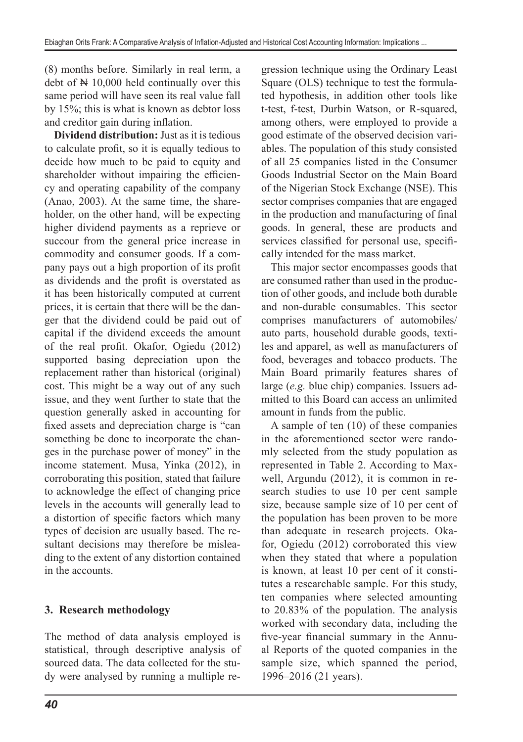(8) months before. Similarly in real term, a debt of  $\mathbb N$  10,000 held continually over this same period will have seen its real value fall by 15%; this is what is known as debtor loss and creditor gain during inflation.

**Dividend distribution:** Just as it is tedious to calculate profit, so it is equally tedious to decide how much to be paid to equity and shareholder without impairing the efficiency and operating capability of the company (Anao, 2003). At the same time, the shareholder, on the other hand, will be expecting higher dividend payments as a reprieve or succour from the general price increase in commodity and consumer goods. If a company pays out a high proportion of its profit as dividends and the profit is overstated as it has been historically computed at current prices, it is certain that there will be the danger that the dividend could be paid out of capital if the dividend exceeds the amount of the real profit. Okafor, Ogiedu (2012) supported basing depreciation upon the replacement rather than historical (original) cost. This might be a way out of any such issue, and they went further to state that the question generally asked in accounting for fixed assets and depreciation charge is "can something be done to incorporate the changes in the purchase power of money" in the income statement. Musa, Yinka (2012), in corroborating this position, stated that failure to acknowledge the effect of changing price levels in the accounts will generally lead to a distortion of specific factors which many types of decision are usually based. The resultant decisions may therefore be misleading to the extent of any distortion contained in the accounts.

# **3. Research methodology**

The method of data analysis employed is statistical, through descriptive analysis of sourced data. The data collected for the study were analysed by running a multiple re-

*40*

gression technique using the Ordinary Least Square (OLS) technique to test the formulated hypothesis, in addition other tools like t-test, f-test, Durbin Watson, or R-squared, among others, were employed to provide a good estimate of the observed decision variables. The population of this study consisted of all 25 companies listed in the Consumer Goods Industrial Sector on the Main Board of the Nigerian Stock Exchange (NSE). This sector comprises companies that are engaged in the production and manufacturing of final goods. In general, these are products and services classified for personal use, specifically intended for the mass market.

This major sector encompasses goods that are consumed rather than used in the production of other goods, and include both durable and non-durable consumables. This sector comprises manufacturers of automobiles/ auto parts, household durable goods, textiles and apparel, as well as manufacturers of food, beverages and tobacco products. The Main Board primarily features shares of large (*e.g.* blue chip) companies. Issuers admitted to this Board can access an unlimited amount in funds from the public.

A sample of ten (10) of these companies in the aforementioned sector were randomly selected from the study population as represented in Table 2. According to Maxwell, Argundu (2012), it is common in research studies to use 10 per cent sample size, because sample size of 10 per cent of the population has been proven to be more than adequate in research projects. Okafor, Ogiedu (2012) corroborated this view when they stated that where a population is known, at least 10 per cent of it constitutes a researchable sample. For this study, ten companies where selected amounting to 20.83% of the population. The analysis worked with secondary data, including the five-year financial summary in the Annual Reports of the quoted companies in the sample size, which spanned the period, 1996–2016 (21 years).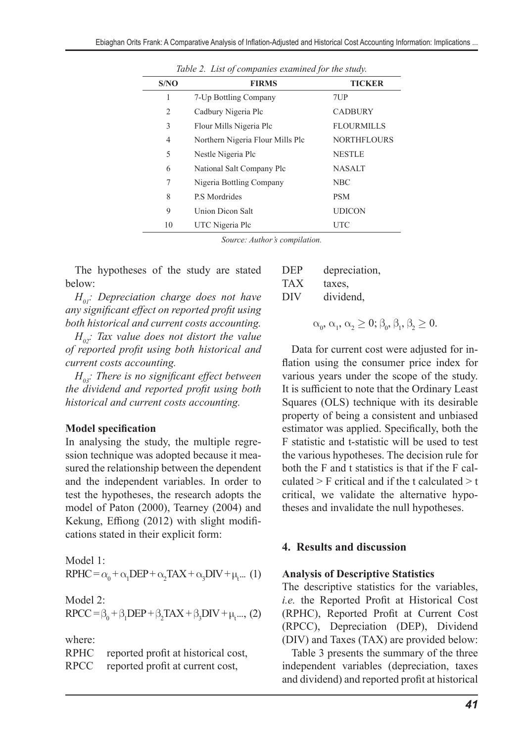| S/NO           | <b>FIRMS</b>                     | <b>TICKER</b>      |
|----------------|----------------------------------|--------------------|
| 1              | 7-Up Bottling Company            | 7UP                |
| $\overline{c}$ | Cadbury Nigeria Plc              | <b>CADBURY</b>     |
| 3              | Flour Mills Nigeria Plc          | <b>FLOURMILLS</b>  |
| 4              | Northern Nigeria Flour Mills Plc | <b>NORTHFLOURS</b> |
| 5              | Nestle Nigeria Plc               | <b>NESTLE</b>      |
| 6              | National Salt Company Plc        | <b>NASALT</b>      |
| 7              | Nigeria Bottling Company         | <b>NBC</b>         |
| 8              | P.S Mordrides                    | <b>PSM</b>         |
| 9              | Union Dicon Salt                 | <b>UDICON</b>      |
| 10             | UTC Nigeria Plc                  | UTC                |

*Table 2. List of companies examined for the study.*

*Source: Author's compilation.*

The hypotheses of the study are stated below:

*H01: Depreciation charge does not have any significant effect on reported profit using both historical and current costs accounting.*

*H02: Tax value does not distort the value of reported profit using both historical and current costs accounting.*

*H03: There is no significant effect between the dividend and reported profit using both historical and current costs accounting.*

### **Model specification**

In analysing the study, the multiple regression technique was adopted because it measured the relationship between the dependent and the independent variables. In order to test the hypotheses, the research adopts the model of Paton (2000), Tearney (2004) and Kekung, Effiong (2012) with slight modifications stated in their explicit form:

Model 1:  $RPHC = \alpha_0 + \alpha_1 DEP + \alpha_2 TAX + \alpha_3 DIV + \mu_t ...$  (1)

Model 2:

$$
RPCC = \beta_0 + \beta_1 DEP + \beta_2 TAX + \beta_3 DIV + \mu_t ... , (2)
$$

where:

| RPHC        | reported profit at historical cost, |
|-------------|-------------------------------------|
| <b>RPCC</b> | reported profit at current cost,    |

| DEP | depreciation, |
|-----|---------------|
| TAX | taxes.        |
| DIV | dividend,     |

 $\alpha_0, \alpha_1, \alpha_2 \geq 0; \beta_0, \beta_1, \beta_2 \geq 0.$ 

Data for current cost were adjusted for inflation using the consumer price index for various years under the scope of the study. It is sufficient to note that the Ordinary Least Squares (OLS) technique with its desirable property of being a consistent and unbiased estimator was applied. Specifically, both the F statistic and t-statistic will be used to test the various hypotheses. The decision rule for both the F and t statistics is that if the F calculated  $>$  F critical and if the t calculated  $>$  t critical, we validate the alternative hypotheses and invalidate the null hypotheses.

### **4. Results and discussion**

### **Analysis of Descriptive Statistics**

The descriptive statistics for the variables, *i.e.* the Reported Profit at Historical Cost (RPHC), Reported Profit at Current Cost (RPCC), Depreciation (DEP), Dividend (DIV) and Taxes (TAX) are provided below:

Table 3 presents the summary of the three independent variables (depreciation, taxes and dividend) and reported profit at historical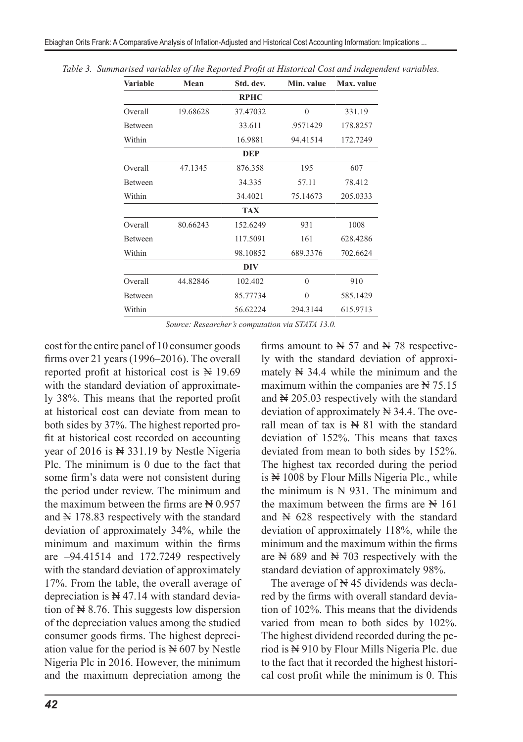| <b>Variable</b> | Mean     | Std. dev.   | Min. value | Max. value |
|-----------------|----------|-------------|------------|------------|
|                 |          | <b>RPHC</b> |            |            |
| Overall         | 19.68628 | 37.47032    | $\theta$   | 331.19     |
| <b>Between</b>  |          | 33.611      | .9571429   | 178.8257   |
| Within          |          | 16.9881     | 94.41514   | 172.7249   |
|                 |          | <b>DEP</b>  |            |            |
| Overall         | 47.1345  | 876.358     | 195        | 607        |
| Between         |          | 34.335      | 57.11      | 78.412     |
| Within          |          | 34.4021     | 75.14673   | 205.0333   |
|                 |          | <b>TAX</b>  |            |            |
| Overall         | 80.66243 | 152.6249    | 931        | 1008       |
| <b>Between</b>  |          | 117.5091    | 161        | 628.4286   |
| Within          |          | 98.10852    | 689.3376   | 702.6624   |
|                 |          | DIV         |            |            |
| Overall         | 44.82846 | 102.402     | $\theta$   | 910        |
| <b>Between</b>  |          | 85.77734    | $\theta$   | 585.1429   |
| Within          |          | 56.62224    | 294.3144   | 615.9713   |

*Table 3. Summarised variables of the Reported Profit at Historical Cost and independent variables.*

*Source: Researcher's computation via STATA 13.0.*

cost for the entire panel of 10 consumer goods firms over 21 years (1996–2016). The overall reported profit at historical cost is  $\mathbb{N}$  19.69 with the standard deviation of approximately 38%. This means that the reported profit at historical cost can deviate from mean to both sides by 37%. The highest reported profit at historical cost recorded on accounting year of 2016 is  $\aleph$  331.19 by Nestle Nigeria Plc. The minimum is 0 due to the fact that some firm's data were not consistent during the period under review. The minimum and the maximum between the firms are  $\cancel{\text{N}}$  0.957 and  $\cancel{N}$  178.83 respectively with the standard deviation of approximately 34%, while the minimum and maximum within the firms are  $-94.41514$  and 172.7249 respectively with the standard deviation of approximately 17%. From the table, the overall average of depreciation is  $\aleph$  47.14 with standard deviation of  $\aleph$  8.76. This suggests low dispersion of the depreciation values among the studied consumer goods firms. The highest depreciation value for the period is  $\aleph$  607 by Nestle Nigeria Plc in 2016. However, the minimum and the maximum depreciation among the

firms amount to  $\cancel{N}$  57 and  $\cancel{N}$  78 respectively with the standard deviation of approximately  $\cancel{N}$  34.4 while the minimum and the maximum within the companies are  $\cancel{\text{N}}$  75.15 and  $\cancel{\text{N}}$  205.03 respectively with the standard deviation of approximately  $\cancel{N}$  34.4. The overall mean of tax is  $\mathbb{N}$  81 with the standard deviation of 152%. This means that taxes deviated from mean to both sides by 152%. The highest tax recorded during the period is  $\mathbb{N}$  1008 by Flour Mills Nigeria Plc., while the minimum is  $N = 931$ . The minimum and the maximum between the firms are  $\cancel{N}$  161 and  $\cancel{N}$  628 respectively with the standard deviation of approximately 118%, while the minimum and the maximum within the firms are  $\cancel{N}$  689 and  $\cancel{N}$  703 respectively with the standard deviation of approximately 98%.

The average of  $\cancel{\text{N}}$  45 dividends was declared by the firms with overall standard deviation of 102%. This means that the dividends varied from mean to both sides by 102%. The highest dividend recorded during the period is  $\frac{N}{N}$  910 by Flour Mills Nigeria Plc. due to the fact that it recorded the highest historical cost profit while the minimum is 0. This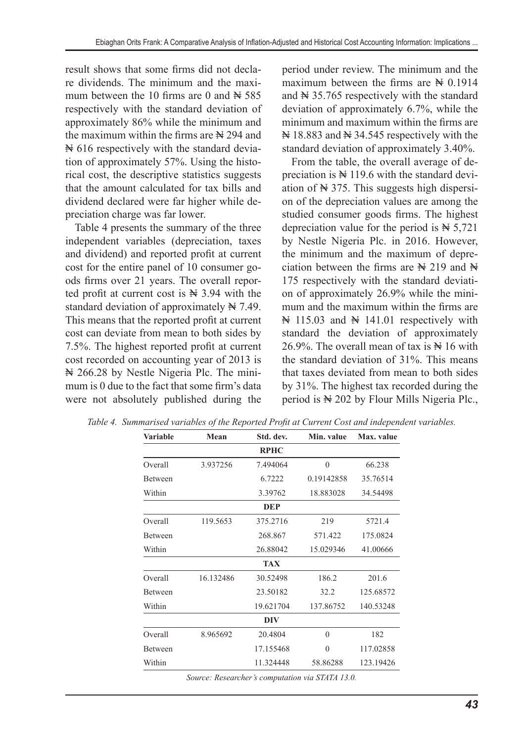result shows that some firms did not declare dividends. The minimum and the maximum between the 10 firms are 0 and  $\cancel{\text{N}}$  585 respectively with the standard deviation of approximately 86% while the minimum and the maximum within the firms are  $\aleph$  294 and N 616 respectively with the standard deviation of approximately 57%. Using the historical cost, the descriptive statistics suggests that the amount calculated for tax bills and dividend declared were far higher while depreciation charge was far lower.

Table 4 presents the summary of the three independent variables (depreciation, taxes and dividend) and reported profit at current cost for the entire panel of 10 consumer goods firms over 21 years. The overall reported profit at current cost is  $\aleph$  3.94 with the standard deviation of approximately  $\cancel{N}$  7.49. This means that the reported profit at current cost can deviate from mean to both sides by 7.5%. The highest reported profit at current cost recorded on accounting year of 2013 is N 266.28 by Nestle Nigeria Plc. The minimum is 0 due to the fact that some firm's data were not absolutely published during the period under review. The minimum and the maximum between the firms are  $\aleph 0.1914$ and  $\cancel{N}$  35.765 respectively with the standard deviation of approximately 6.7%, while the minimum and maximum within the firms are  $\#$  18.883 and  $\#$  34.545 respectively with the standard deviation of approximately 3.40%.

From the table, the overall average of depreciation is  $\mathbb{N} 119.6$  with the standard deviation of  $\cancel{\text{N}}$  375. This suggests high dispersion of the depreciation values are among the studied consumer goods firms. The highest depreciation value for the period is  $\aleph$  5,721 by Nestle Nigeria Plc. in 2016. However, the minimum and the maximum of depreciation between the firms are  $\aleph$  219 and  $\aleph$ 175 respectively with the standard deviation of approximately 26.9% while the minimum and the maximum within the firms are  $\mathbb N$  115.03 and  $\mathbb N$  141.01 respectively with standard the deviation of approximately 26.9%. The overall mean of tax is  $\mathbb{N}$  16 with the standard deviation of 31%. This means that taxes deviated from mean to both sides by 31%. The highest tax recorded during the period is  $\aleph 202$  by Flour Mills Nigeria Plc.,

| <b>Variable</b> | Mean      | Std. dev.   | Min. value | Max. value |
|-----------------|-----------|-------------|------------|------------|
|                 |           | <b>RPHC</b> |            |            |
| Overall         | 3.937256  | 7.494064    | $\theta$   | 66.238     |
| Between         |           | 6.7222      | 0.19142858 | 35.76514   |
| Within          |           | 3.39762     | 18.883028  | 34.54498   |
|                 |           | <b>DEP</b>  |            |            |
| Overall         | 119.5653  | 375.2716    | 219        | 5721.4     |
| <b>Between</b>  |           | 268.867     | 571.422    | 175.0824   |
| Within          |           | 26.88042    | 15.029346  | 41.00666   |
|                 |           | <b>TAX</b>  |            |            |
| Overall         | 16.132486 | 30.52498    | 186.2      | 201.6      |
| <b>Between</b>  |           | 23.50182    | 32.2       | 125.68572  |
| Within          |           | 19.621704   | 137.86752  | 140.53248  |
|                 |           | DIV         |            |            |
| Overall         | 8.965692  | 20.4804     | $\theta$   | 182        |
| <b>Between</b>  |           | 17.155468   | $\theta$   | 117.02858  |
| Within          |           | 11.324448   | 58.86288   | 123.19426  |

*Table 4. Summarised variables of the Reported Profit at Current Cost and independent variables.*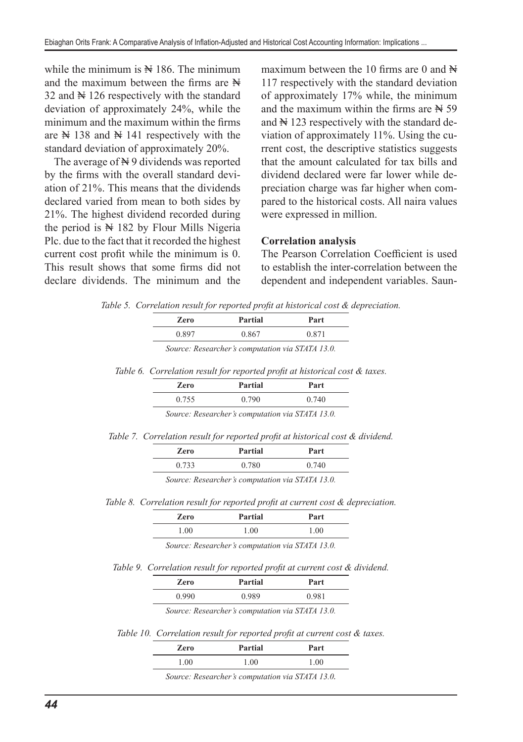while the minimum is  $\mathbb{N}$  186. The minimum and the maximum between the firms are  $\mathbb H$ 32 and  $\mathbb{N}$  126 respectively with the standard deviation of approximately 24%, while the minimum and the maximum within the firms are  $\cancel{N}$  138 and  $\cancel{N}$  141 respectively with the standard deviation of approximately 20%.

The average of  $\mathbb N$  9 dividends was reported by the firms with the overall standard deviation of 21%. This means that the dividends declared varied from mean to both sides by 21%. The highest dividend recorded during the period is  $N \geq 182$  by Flour Mills Nigeria Plc. due to the fact that it recorded the highest current cost profit while the minimum is 0. This result shows that some firms did not declare dividends. The minimum and the

maximum between the 10 firms are 0 and  $\mathbb{H}$ 117 respectively with the standard deviation of approximately 17% while, the minimum and the maximum within the firms are  $\cancel{N}$  59 and  $\mathbb{N}$  123 respectively with the standard deviation of approximately 11%. Using the current cost, the descriptive statistics suggests that the amount calculated for tax bills and dividend declared were far lower while depreciation charge was far higher when compared to the historical costs. All naira values were expressed in million.

### **Correlation analysis**

The Pearson Correlation Coefficient is used to establish the inter-correlation between the dependent and independent variables. Saun-

*Table 5. Correlation result for reported profit at historical cost & depreciation.*

| Zero  | Partial | Part                |
|-------|---------|---------------------|
| -89،ر | 0.867   | $0.87$ <sup>+</sup> |

*Source: Researcher's computation via STATA 13.0.*

*Table 6. Correlation result for reported profit at historical cost & taxes.*

| Zero  | Partial                                          | Part  |
|-------|--------------------------------------------------|-------|
| 0.755 | 0.790                                            | 0.740 |
|       | Source: Researcher's computation via STATA 13.0. |       |

*Table 7. Correlation result for reported profit at historical cost & dividend.*

*Table 8. Correlation result for reported profit at current cost & depreciation.*

| Zero | Partial | Part |
|------|---------|------|
| .00. | 00.1    | 1.00 |

*Source: Researcher's computation via STATA 13.0.*

*Table 9. Correlation result for reported profit at current cost & dividend.*

| Zero  | Partial | Part  |
|-------|---------|-------|
| 0.990 | 0.989   | 0.981 |

*Source: Researcher's computation via STATA 13.0.*

*Table 10. Correlation result for reported profit at current cost & taxes.*

| Zero | Partial | Part |
|------|---------|------|
| 00.1 | .00     | 1.00 |
|      |         |      |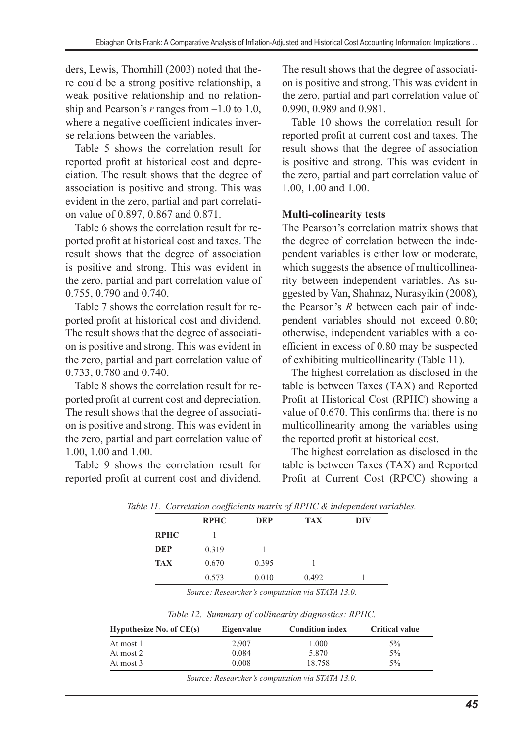ders, Lewis, Thornhill (2003) noted that there could be a strong positive relationship, a weak positive relationship and no relationship and Pearson's *r* ranges from –1.0 to 1.0, where a negative coefficient indicates inverse relations between the variables.

Table 5 shows the correlation result for reported profit at historical cost and depreciation. The result shows that the degree of association is positive and strong. This was evident in the zero, partial and part correlation value of 0.897, 0.867 and 0.871.

Table 6 shows the correlation result for reported profit at historical cost and taxes. The result shows that the degree of association is positive and strong. This was evident in the zero, partial and part correlation value of 0.755, 0.790 and 0.740.

Table 7 shows the correlation result for reported profit at historical cost and dividend. The result shows that the degree of association is positive and strong. This was evident in the zero, partial and part correlation value of 0.733, 0.780 and 0.740.

Table 8 shows the correlation result for reported profit at current cost and depreciation. The result shows that the degree of association is positive and strong. This was evident in the zero, partial and part correlation value of 1.00, 1.00 and 1.00.

Table 9 shows the correlation result for reported profit at current cost and dividend. The result shows that the degree of association is positive and strong. This was evident in the zero, partial and part correlation value of 0.990, 0.989 and 0.981.

Table 10 shows the correlation result for reported profit at current cost and taxes. The result shows that the degree of association is positive and strong. This was evident in the zero, partial and part correlation value of 1.00, 1.00 and 1.00.

### **Multi-colinearity tests**

The Pearson's correlation matrix shows that the degree of correlation between the independent variables is either low or moderate, which suggests the absence of multicollinearity between independent variables. As suggested by Van, Shahnaz, Nurasyikin (2008), the Pearson's *R* between each pair of independent variables should not exceed 0.80; otherwise, independent variables with a coefficient in excess of 0.80 may be suspected of exhibiting multicollinearity (Table 11).

The highest correlation as disclosed in the table is between Taxes (TAX) and Reported Profit at Historical Cost (RPHC) showing a value of 0.670. This confirms that there is no multicollinearity among the variables using the reported profit at historical cost.

The highest correlation as disclosed in the table is between Taxes (TAX) and Reported Profit at Current Cost (RPCC) showing a

|             | <b>RPHC</b> | <b>DEP</b> | <b>TAX</b> | DIV |
|-------------|-------------|------------|------------|-----|
| <b>RPHC</b> |             |            |            |     |
| <b>DEP</b>  | 0.319       |            |            |     |
| <b>TAX</b>  | 0.670       | 0.395      |            |     |
|             | 0.573       | 0.010      | 0.492      |     |

*Table 11. Correlation coefficients matrix of RPHC & independent variables.*

*Source: Researcher's computation via STATA 13.0.*

|  | Table 12. Summary of collinearity diagnostics: RPHC. |  |
|--|------------------------------------------------------|--|
|  |                                                      |  |

| Hypothesize No. of $CE(s)$ | Eigenvalue | <b>Condition index</b> | <b>Critical value</b> |
|----------------------------|------------|------------------------|-----------------------|
| At most 1                  | 2.907      | 1.000                  | 5%                    |
| At most 2                  | 0.084      | 5.870                  | 5%                    |
| At most 3                  | 0.008      | 18.758                 | $5\%$                 |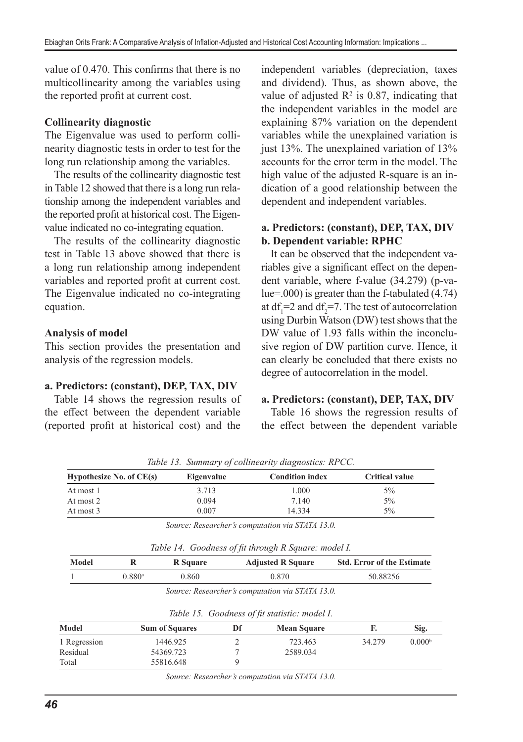value of 0.470. This confirms that there is no multicollinearity among the variables using the reported profit at current cost.

#### **Collinearity diagnostic**

The Eigenvalue was used to perform collinearity diagnostic tests in order to test for the long run relationship among the variables.

The results of the collinearity diagnostic test in Table 12 showed that there is a long run relationship among the independent variables and the reported profit at historical cost. The Eigenvalue indicated no co-integrating equation.

The results of the collinearity diagnostic test in Table 13 above showed that there is a long run relationship among independent variables and reported profit at current cost. The Eigenvalue indicated no co-integrating equation.

#### **Analysis of model**

This section provides the presentation and analysis of the regression models.

#### **a. Predictors: (constant), DEP, TAX, DIV**

Table 14 shows the regression results of the effect between the dependent variable (reported profit at historical cost) and the

independent variables (depreciation, taxes and dividend). Thus, as shown above, the value of adjusted  $R^2$  is 0.87, indicating that the independent variables in the model are explaining 87% variation on the dependent variables while the unexplained variation is just 13%. The unexplained variation of 13% accounts for the error term in the model. The high value of the adjusted R-square is an indication of a good relationship between the dependent and independent variables.

### **a. Predictors: (constant), DEP, TAX, DIV b. Dependent variable: RPHC**

It can be observed that the independent variables give a significant effect on the dependent variable, where f-value (34.279) (p-value=.000) is greater than the f-tabulated (4.74) at  $df_1 = 2$  and  $df_2 = 7$ . The test of autocorrelation using Durbin Watson (DW) test shows that the DW value of 1.93 falls within the inconclusive region of DW partition curve. Hence, it can clearly be concluded that there exists no degree of autocorrelation in the model.

#### **a. Predictors: (constant), DEP, TAX, DIV**

Table 16 shows the regression results of the effect between the dependent variable

| Eigenvalue | <b>Condition index</b> | <b>Critical value</b> |
|------------|------------------------|-----------------------|
| 3.713      | 1.000                  | 5%                    |
| 0.094      | 7.140                  | 5%                    |
| 0.007      | 14.334                 | 5%                    |
|            |                        |                       |

*Table 13. Summary of collinearity diagnostics: RPCC.*

*Source: Researcher's computation via STATA 13.0.*

| Table 14. Goodness of fit through R Square: model I. |  |  |  |
|------------------------------------------------------|--|--|--|
|                                                      |  |  |  |

| Model |                      | R Square | <b>Adjusted R Square</b> | <b>Std. Error of the Estimate</b> |
|-------|----------------------|----------|--------------------------|-----------------------------------|
|       | $0.880$ <sup>a</sup> | 0.860    | 0.870                    | 50.88256                          |

|  | Source: Researcher's computation via STATA 13.0. |
|--|--------------------------------------------------|
|--|--------------------------------------------------|

|              |                       |    | Table 15. Goodness of fit statistic: model I. |        |                    |
|--------------|-----------------------|----|-----------------------------------------------|--------|--------------------|
| Model        | <b>Sum of Squares</b> | Df | <b>Mean Square</b>                            |        | Sig.               |
| 1 Regression | 1446.925              |    | 723.463                                       | 34.279 | 0.000 <sup>b</sup> |
| Residual     | 54369.723             |    | 2589.034                                      |        |                    |
| Total        | 55816.648             |    |                                               |        |                    |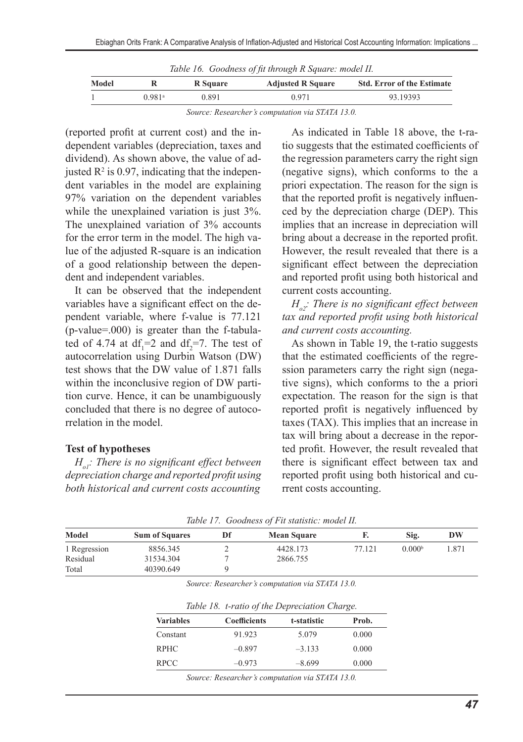| Table 16. Goodness of fit through R Square: model II. |  |  |  |  |
|-------------------------------------------------------|--|--|--|--|
|                                                       |  |  |  |  |

| Model |        | R Square | <b>Adjusted R Square</b> | <b>Std. Error of the Estimate</b> |
|-------|--------|----------|--------------------------|-----------------------------------|
|       | 0.981ª | 0.891    | 0.971                    | 93.19393                          |

*Source: Researcher's computation via STATA 13.0.*

(reported profit at current cost) and the independent variables (depreciation, taxes and dividend). As shown above, the value of adjusted  $\mathbb{R}^2$  is 0.97, indicating that the independent variables in the model are explaining 97% variation on the dependent variables while the unexplained variation is just 3%. The unexplained variation of 3% accounts for the error term in the model. The high value of the adjusted R-square is an indication of a good relationship between the dependent and independent variables.

It can be observed that the independent variables have a significant effect on the dependent variable, where f-value is 77.121 (p-value=.000) is greater than the f-tabulated of 4.74 at  $df_1 = 2$  and  $df_2 = 7$ . The test of autocorrelation using Durbin Watson (DW) test shows that the DW value of 1.871 falls within the inconclusive region of DW partition curve. Hence, it can be unambiguously concluded that there is no degree of autocorrelation in the model.

#### **Test of hypotheses**

*Ho1: There is no significant effect between depreciation charge and reported profit using both historical and current costs accounting*

As indicated in Table 18 above, the t-ratio suggests that the estimated coefficients of the regression parameters carry the right sign (negative signs), which conforms to the a priori expectation. The reason for the sign is that the reported profit is negatively influenced by the depreciation charge (DEP). This implies that an increase in depreciation will bring about a decrease in the reported profit. However, the result revealed that there is a significant effect between the depreciation and reported profit using both historical and current costs accounting.

*Ho2: There is no significant effect between tax and reported profit using both historical and current costs accounting.*

As shown in Table 19, the t-ratio suggests that the estimated coefficients of the regression parameters carry the right sign (negative signs), which conforms to the a priori expectation. The reason for the sign is that reported profit is negatively influenced by taxes (TAX). This implies that an increase in tax will bring about a decrease in the reported profit. However, the result revealed that there is significant effect between tax and reported profit using both historical and current costs accounting.

|              |                       | Table 17. Goodness of Fu statistic. model 11. |        |                    |       |
|--------------|-----------------------|-----------------------------------------------|--------|--------------------|-------|
| Model        | <b>Sum of Squares</b> | <b>Mean Square</b>                            |        | Sig.               | DW    |
| 1 Regression | 8856.345              | 4428.173                                      | 77.121 | 0.000 <sup>b</sup> | 1.871 |
| Residual     | 31534.304             | 2866.755                                      |        |                    |       |
| Total        | 40390.649             |                                               |        |                    |       |

*Table 17. Goodness of Fit statistic: model II.*

*Source: Researcher's computation via STATA 13.0.*

| Table 18. t-ratio of the Depreciation Charge. |
|-----------------------------------------------|
|-----------------------------------------------|

| <b>Variables</b> | <b>Coefficients</b> | t-statistic | Prob. |
|------------------|---------------------|-------------|-------|
| Constant         | 91.923              | 5.079       | 0.000 |
| <b>RPHC</b>      | $-0.897$            | $-3.133$    | 0.000 |
| <b>RPCC</b>      | $-0.973$            | $-8.699$    | 0.000 |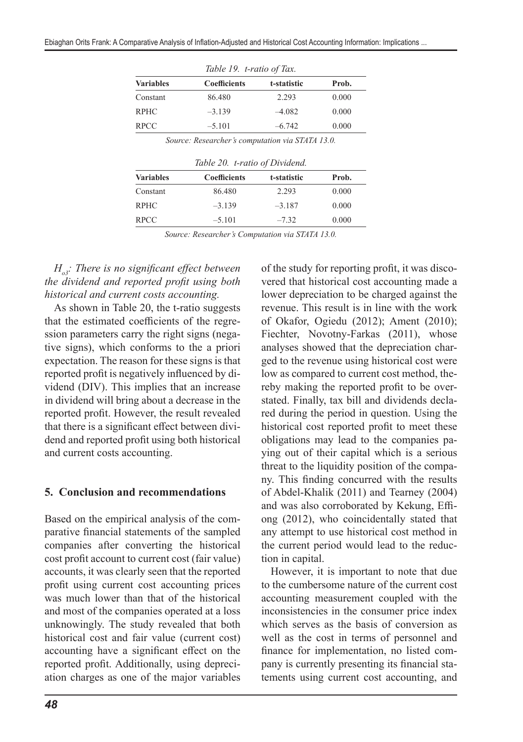| Table 19. t-ratio of Tax. |             |       |  |  |  |
|---------------------------|-------------|-------|--|--|--|
| <b>Coefficients</b>       | t-statistic | Prob. |  |  |  |
| 86.480                    | 2.293       | 0.000 |  |  |  |
| $-3.139$                  | $-4.082$    | 0.000 |  |  |  |
| $-5.101$                  | $-6.742$    | 0.000 |  |  |  |
|                           |             |       |  |  |  |

*Source: Researcher's computation via STATA 13.0.*

*Table 20. t-ratio of Dividend.*

| <b>Variables</b> | <b>Coefficients</b> | t-statistic | Prob. |
|------------------|---------------------|-------------|-------|
| Constant         | 86.480              | 2.293       | 0.000 |
| <b>RPHC</b>      | $-3.139$            | $-3.187$    | 0.000 |
| <b>RPCC</b>      | $-5.101$            | $-7.32$     | 0.000 |

*Source: Researcher's Computation via STATA 13.0.*

*Ho3: There is no significant effect between the dividend and reported profit using both historical and current costs accounting.*

As shown in Table 20, the t-ratio suggests that the estimated coefficients of the regression parameters carry the right signs (negative signs), which conforms to the a priori expectation. The reason for these signs is that reported profit is negatively influenced by dividend (DIV). This implies that an increase in dividend will bring about a decrease in the reported profit. However, the result revealed that there is a significant effect between dividend and reported profit using both historical and current costs accounting.

#### **5. Conclusion and recommendations**

Based on the empirical analysis of the comparative financial statements of the sampled companies after converting the historical cost profit account to current cost (fair value) accounts, it was clearly seen that the reported profit using current cost accounting prices was much lower than that of the historical and most of the companies operated at a loss unknowingly. The study revealed that both historical cost and fair value (current cost) accounting have a significant effect on the reported profit. Additionally, using depreciation charges as one of the major variables of the study for reporting profit, it was discovered that historical cost accounting made a lower depreciation to be charged against the revenue. This result is in line with the work of Okafor, Ogiedu (2012); Ament (2010); Fiechter, Novotny-Farkas (2011), whose analyses showed that the depreciation charged to the revenue using historical cost were low as compared to current cost method, thereby making the reported profit to be overstated. Finally, tax bill and dividends declared during the period in question. Using the historical cost reported profit to meet these obligations may lead to the companies paying out of their capital which is a serious threat to the liquidity position of the company. This finding concurred with the results of Abdel-Khalik (2011) and Tearney (2004) and was also corroborated by Kekung, Effiong (2012), who coincidentally stated that any attempt to use historical cost method in the current period would lead to the reduction in capital.

However, it is important to note that due to the cumbersome nature of the current cost accounting measurement coupled with the inconsistencies in the consumer price index which serves as the basis of conversion as well as the cost in terms of personnel and finance for implementation, no listed company is currently presenting its financial statements using current cost accounting, and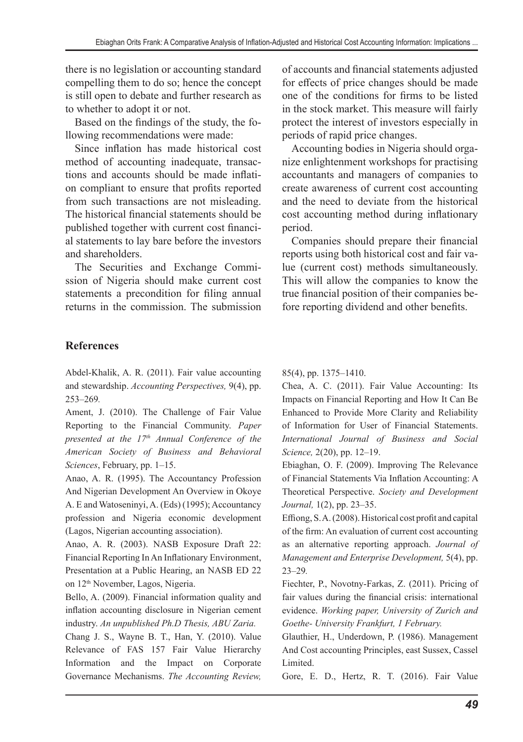there is no legislation or accounting standard compelling them to do so; hence the concept is still open to debate and further research as to whether to adopt it or not.

Based on the findings of the study, the following recommendations were made:

Since inflation has made historical cost method of accounting inadequate, transactions and accounts should be made inflation compliant to ensure that profits reported from such transactions are not misleading. The historical financial statements should be published together with current cost financial statements to lay bare before the investors and shareholders.

The Securities and Exchange Commission of Nigeria should make current cost statements a precondition for filing annual returns in the commission. The submission of accounts and financial statements adjusted for effects of price changes should be made one of the conditions for firms to be listed in the stock market. This measure will fairly protect the interest of investors especially in periods of rapid price changes.

Accounting bodies in Nigeria should organize enlightenment workshops for practising accountants and managers of companies to create awareness of current cost accounting and the need to deviate from the historical cost accounting method during inflationary period.

Companies should prepare their financial reports using both historical cost and fair value (current cost) methods simultaneously. This will allow the companies to know the true financial position of their companies before reporting dividend and other benefits.

# **References**

Abdel-Khalik, A. R. (2011). Fair value accounting and stewardship. *Accounting Perspectives,* 9(4), pp. 253–269*.*

Ament, J. (2010). The Challenge of Fair Value Reporting to the Financial Community. *Paper presented at the 17<sup>th</sup> Annual Conference of the American Society of Business and Behavioral Sciences*, February, pp. 1–15.

Anao, A. R. (1995). The Accountancy Profession And Nigerian Development An Overview in Okoye A. E and Watoseninyi, A. (Eds) (1995); Accountancy profession and Nigeria economic development (Lagos, Nigerian accounting association).

Anao, A. R. (2003). NASB Exposure Draft 22: Financial Reporting In An Inflationary Environment, Presentation at a Public Hearing, an NASB ED 22 on 12<sup>th</sup> November, Lagos, Nigeria.

Bello, A. (2009). Financial information quality and inflation accounting disclosure in Nigerian cement industry. *An unpublished Ph.D Thesis, ABU Zaria.*

Chang J. S., Wayne B. T., Han, Y. (2010). Value Relevance of FAS 157 Fair Value Hierarchy Information and the Impact on Corporate Governance Mechanisms. *The Accounting Review,* 

85(4), pp. 1375–1410.

Chea, A. C. (2011). Fair Value Accounting: Its Impacts on Financial Reporting and How It Can Be Enhanced to Provide More Clarity and Reliability of Information for User of Financial Statements. *International Journal of Business and Social Science,* 2(20), pp. 12–19.

Ebiaghan, O. F. (2009). Improving The Relevance of Financial Statements Via Inflation Accounting: A Theoretical Perspective. *Society and Development Journal,* 1(2), pp. 23–35.

Effiong, S. A. (2008). Historical cost profit and capital of the firm: An evaluation of current cost accounting as an alternative reporting approach. *Journal of Management and Enterprise Development,* 5(4), pp. 23–29*.*

Fiechter, P., Novotny-Farkas, Z. (2011). Pricing of fair values during the financial crisis: international evidence. *Working paper, University of Zurich and Goethe- University Frankfurt, 1 February.*

Glauthier, H., Underdown, P. (1986). Management And Cost accounting Principles, east Sussex, Cassel Limited.

Gore, E. D., Hertz, R. T. (2016). Fair Value